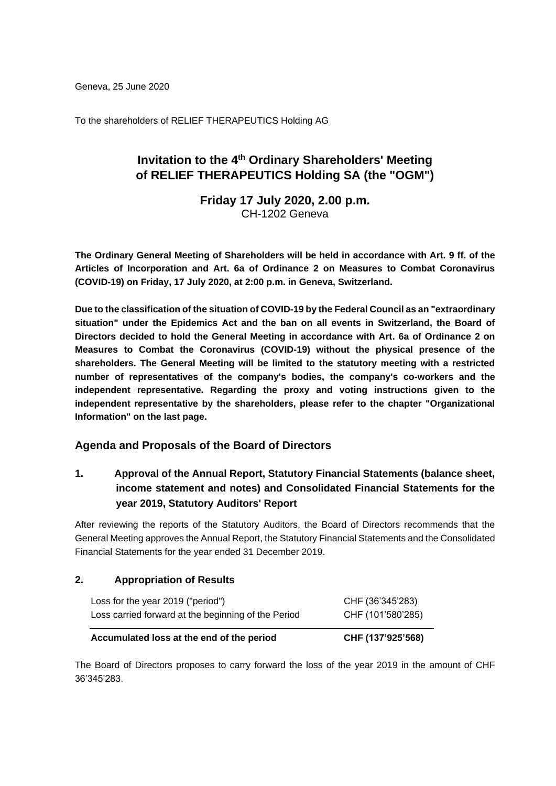Geneva, 25 June 2020

To the shareholders of RELIEF THERAPEUTICS Holding AG

# **Invitation to the 4 th Ordinary Shareholders' Meeting of RELIEF THERAPEUTICS Holding SA (the "OGM")**

**Friday 17 July 2020, 2.00 p.m.** CH-1202 Geneva

**The Ordinary General Meeting of Shareholders will be held in accordance with Art. 9 ff. of the Articles of Incorporation and Art. 6a of Ordinance 2 on Measures to Combat Coronavirus (COVID-19) on Friday, 17 July 2020, at 2:00 p.m. in Geneva, Switzerland.**

**Due to the classification of the situation of COVID-19 by the Federal Council as an "extraordinary situation" under the Epidemics Act and the ban on all events in Switzerland, the Board of Directors decided to hold the General Meeting in accordance with Art. 6a of Ordinance 2 on Measures to Combat the Coronavirus (COVID-19) without the physical presence of the shareholders. The General Meeting will be limited to the statutory meeting with a restricted number of representatives of the company's bodies, the company's co-workers and the independent representative. Regarding the proxy and voting instructions given to the independent representative by the shareholders, please refer to the chapter "Organizational Information" on the last page.**

### **Agenda and Proposals of the Board of Directors**

## **1. Approval of the Annual Report, Statutory Financial Statements (balance sheet, income statement and notes) and Consolidated Financial Statements for the year 2019, Statutory Auditors' Report**

After reviewing the reports of the Statutory Auditors, the Board of Directors recommends that the General Meeting approves the Annual Report, the Statutory Financial Statements and the Consolidated Financial Statements for the year ended 31 December 2019.

#### **2. Appropriation of Results**

| Accumulated loss at the end of the period                                                | CHF (137'925'568)                     |
|------------------------------------------------------------------------------------------|---------------------------------------|
| Loss for the year 2019 ("period")<br>Loss carried forward at the beginning of the Period | CHF (36'345'283)<br>CHF (101'580'285) |
|                                                                                          |                                       |

The Board of Directors proposes to carry forward the loss of the year 2019 in the amount of CHF 36'345'283.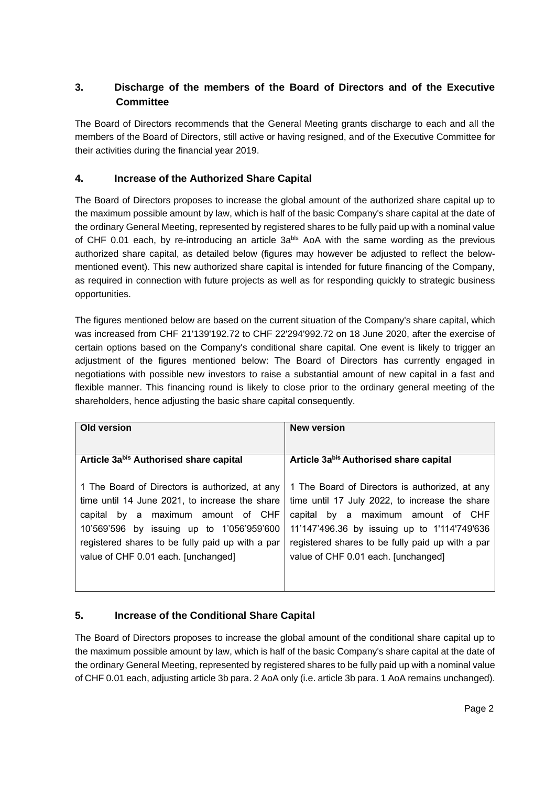# **3. Discharge of the members of the Board of Directors and of the Executive Committee**

The Board of Directors recommends that the General Meeting grants discharge to each and all the members of the Board of Directors, still active or having resigned, and of the Executive Committee for their activities during the financial year 2019.

## **4. Increase of the Authorized Share Capital**

The Board of Directors proposes to increase the global amount of the authorized share capital up to the maximum possible amount by law, which is half of the basic Company's share capital at the date of the ordinary General Meeting, represented by registered shares to be fully paid up with a nominal value of CHF 0.01 each, by re-introducing an article 3abls AoA with the same wording as the previous authorized share capital, as detailed below (figures may however be adjusted to reflect the belowmentioned event). This new authorized share capital is intended for future financing of the Company, as required in connection with future projects as well as for responding quickly to strategic business opportunities.

The figures mentioned below are based on the current situation of the Company's share capital, which was increased from CHF 21'139'192.72 to CHF 22'294'992.72 on 18 June 2020, after the exercise of certain options based on the Company's conditional share capital. One event is likely to trigger an adjustment of the figures mentioned below: The Board of Directors has currently engaged in negotiations with possible new investors to raise a substantial amount of new capital in a fast and flexible manner. This financing round is likely to close prior to the ordinary general meeting of the shareholders, hence adjusting the basic share capital consequently.

| Old version                                      | <b>New version</b>                               |
|--------------------------------------------------|--------------------------------------------------|
|                                                  |                                                  |
| Article 3abis Authorised share capital           | Article 3abis Authorised share capital           |
|                                                  |                                                  |
| 1 The Board of Directors is authorized, at any   | 1 The Board of Directors is authorized, at any   |
| time until 14 June 2021, to increase the share   | time until 17 July 2022, to increase the share   |
| capital by a maximum amount of CHF               | capital by a maximum amount of CHF               |
| 10'569'596 by issuing up to 1'056'959'600        | 11'147'496.36 by issuing up to 1'114'749'636     |
| registered shares to be fully paid up with a par | registered shares to be fully paid up with a par |
| value of CHF 0.01 each. [unchanged]              | value of CHF 0.01 each. [unchanged]              |
|                                                  |                                                  |
|                                                  |                                                  |

# **5. Increase of the Conditional Share Capital**

The Board of Directors proposes to increase the global amount of the conditional share capital up to the maximum possible amount by law, which is half of the basic Company's share capital at the date of the ordinary General Meeting, represented by registered shares to be fully paid up with a nominal value of CHF 0.01 each, adjusting article 3b para. 2 AoA only (i.e. article 3b para. 1 AoA remains unchanged).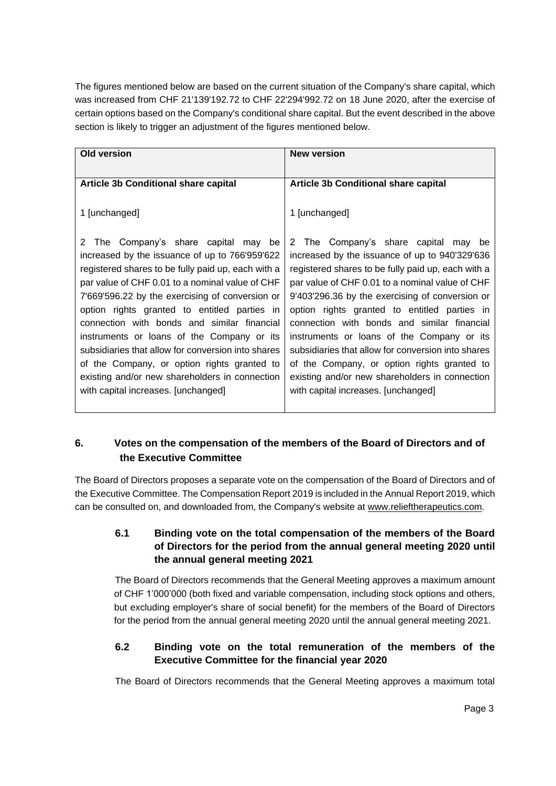The figures mentioned below are based on the current situation of the Company's share capital, which was increased from CHF 21'139'192.72 to CHF 22'294'992.72 on 18 June 2020, after the exercise of certain options based on the Company's conditional share capital. But the event described in the above section is likely to trigger an adjustment of the figures mentioned below.

| Old version                                                                                                                                                                                                                                                                                                                                                                                                                                                                                                                                                                                         | <b>New version</b>                                                                                                                                                                                                                                                                                                                                                                                                                                                                                                                                                                            |
|-----------------------------------------------------------------------------------------------------------------------------------------------------------------------------------------------------------------------------------------------------------------------------------------------------------------------------------------------------------------------------------------------------------------------------------------------------------------------------------------------------------------------------------------------------------------------------------------------------|-----------------------------------------------------------------------------------------------------------------------------------------------------------------------------------------------------------------------------------------------------------------------------------------------------------------------------------------------------------------------------------------------------------------------------------------------------------------------------------------------------------------------------------------------------------------------------------------------|
|                                                                                                                                                                                                                                                                                                                                                                                                                                                                                                                                                                                                     |                                                                                                                                                                                                                                                                                                                                                                                                                                                                                                                                                                                               |
| <b>Article 3b Conditional share capital</b>                                                                                                                                                                                                                                                                                                                                                                                                                                                                                                                                                         | <b>Article 3b Conditional share capital</b>                                                                                                                                                                                                                                                                                                                                                                                                                                                                                                                                                   |
| 1 [unchanged]                                                                                                                                                                                                                                                                                                                                                                                                                                                                                                                                                                                       | 1 [unchanged]                                                                                                                                                                                                                                                                                                                                                                                                                                                                                                                                                                                 |
| The Company's share capital<br>may be<br>2<br>increased by the issuance of up to 766'959'622<br>registered shares to be fully paid up, each with a<br>par value of CHF 0.01 to a nominal value of CHF<br>7'669'596.22 by the exercising of conversion or<br>option rights granted to entitled parties in<br>connection with bonds and similar financial<br>instruments or loans of the Company or its<br>subsidiaries that allow for conversion into shares<br>of the Company, or option rights granted to<br>existing and/or new shareholders in connection<br>with capital increases. [unchanged] | 2 The Company's share capital may be<br>increased by the issuance of up to 940'329'636<br>registered shares to be fully paid up, each with a<br>par value of CHF 0.01 to a nominal value of CHF<br>9'403'296.36 by the exercising of conversion or<br>option rights granted to entitled parties in<br>connection with bonds and similar financial<br>instruments or loans of the Company or its<br>subsidiaries that allow for conversion into shares<br>of the Company, or option rights granted to<br>existing and/or new shareholders in connection<br>with capital increases. [unchanged] |

## **6. Votes on the compensation of the members of the Board of Directors and of the Executive Committee**

The Board of Directors proposes a separate vote on the compensation of the Board of Directors and of the Executive Committee. The Compensation Report 2019 is included in the Annual Report 2019, which can be consulted on, and downloaded from, the Company's website at [www.relieftherapeutics.com.](http://www.relieftherapeutics.com/)

### **6.1 Binding vote on the total compensation of the members of the Board of Directors for the period from the annual general meeting 2020 until the annual general meeting 2021**

The Board of Directors recommends that the General Meeting approves a maximum amount of CHF 1'000'000 (both fixed and variable compensation, including stock options and others, but excluding employer's share of social benefit) for the members of the Board of Directors for the period from the annual general meeting 2020 until the annual general meeting 2021.

## **6.2 Binding vote on the total remuneration of the members of the Executive Committee for the financial year 2020**

The Board of Directors recommends that the General Meeting approves a maximum total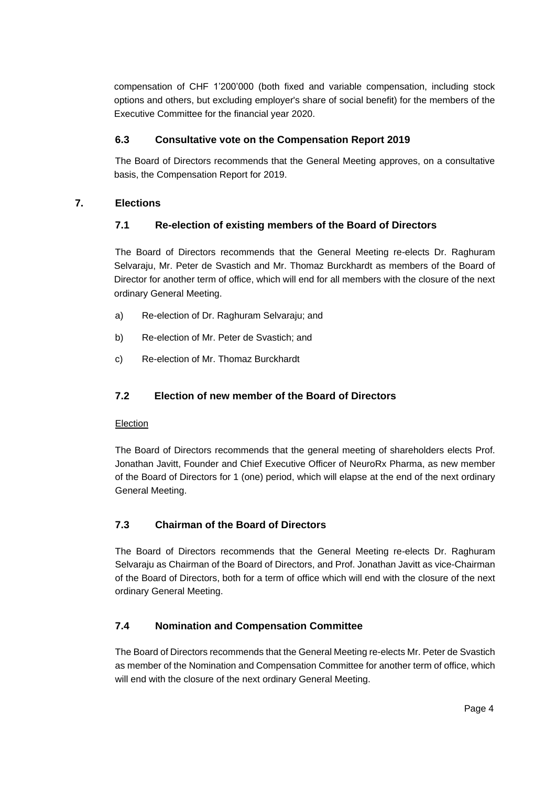compensation of CHF 1'200'000 (both fixed and variable compensation, including stock options and others, but excluding employer's share of social benefit) for the members of the Executive Committee for the financial year 2020.

## **6.3 Consultative vote on the Compensation Report 2019**

The Board of Directors recommends that the General Meeting approves, on a consultative basis, the Compensation Report for 2019.

### **7. Elections**

## **7.1 Re-election of existing members of the Board of Directors**

The Board of Directors recommends that the General Meeting re-elects Dr. Raghuram Selvaraju, Mr. Peter de Svastich and Mr. Thomaz Burckhardt as members of the Board of Director for another term of office, which will end for all members with the closure of the next ordinary General Meeting.

- a) Re-election of Dr. Raghuram Selvaraju; and
- b) Re-election of Mr. Peter de Svastich; and
- c) Re-election of Mr. Thomaz Burckhardt

## **7.2 Election of new member of the Board of Directors**

### **Election**

The Board of Directors recommends that the general meeting of shareholders elects Prof. Jonathan Javitt, Founder and Chief Executive Officer of NeuroRx Pharma, as new member of the Board of Directors for 1 (one) period, which will elapse at the end of the next ordinary General Meeting.

## **7.3 Chairman of the Board of Directors**

The Board of Directors recommends that the General Meeting re-elects Dr. Raghuram Selvaraju as Chairman of the Board of Directors, and Prof. Jonathan Javitt as vice-Chairman of the Board of Directors, both for a term of office which will end with the closure of the next ordinary General Meeting.

## **7.4 Nomination and Compensation Committee**

The Board of Directors recommends that the General Meeting re-elects Mr. Peter de Svastich as member of the Nomination and Compensation Committee for another term of office, which will end with the closure of the next ordinary General Meeting.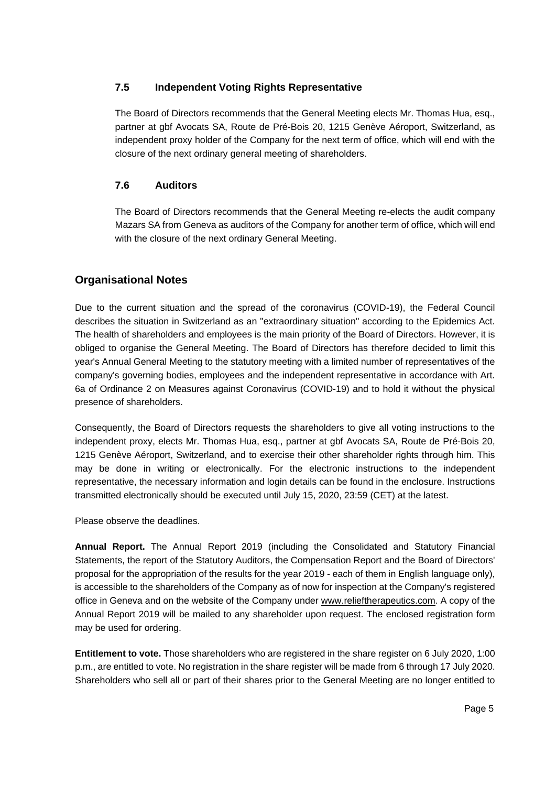### **7.5 Independent Voting Rights Representative**

The Board of Directors recommends that the General Meeting elects Mr. Thomas Hua, esq., partner at gbf Avocats SA, Route de Pré-Bois 20, 1215 Genève Aéroport, Switzerland, as independent proxy holder of the Company for the next term of office, which will end with the closure of the next ordinary general meeting of shareholders.

### **7.6 Auditors**

The Board of Directors recommends that the General Meeting re-elects the audit company Mazars SA from Geneva as auditors of the Company for another term of office, which will end with the closure of the next ordinary General Meeting.

## **Organisational Notes**

Due to the current situation and the spread of the coronavirus (COVID-19), the Federal Council describes the situation in Switzerland as an "extraordinary situation" according to the Epidemics Act. The health of shareholders and employees is the main priority of the Board of Directors. However, it is obliged to organise the General Meeting. The Board of Directors has therefore decided to limit this year's Annual General Meeting to the statutory meeting with a limited number of representatives of the company's governing bodies, employees and the independent representative in accordance with Art. 6a of Ordinance 2 on Measures against Coronavirus (COVID-19) and to hold it without the physical presence of shareholders.

Consequently, the Board of Directors requests the shareholders to give all voting instructions to the independent proxy, elects Mr. Thomas Hua, esq., partner at gbf Avocats SA, Route de Pré-Bois 20, 1215 Genève Aéroport, Switzerland, and to exercise their other shareholder rights through him. This may be done in writing or electronically. For the electronic instructions to the independent representative, the necessary information and login details can be found in the enclosure. Instructions transmitted electronically should be executed until July 15, 2020, 23:59 (CET) at the latest.

Please observe the deadlines.

**Annual Report.** The Annual Report 2019 (including the Consolidated and Statutory Financial Statements, the report of the Statutory Auditors, the Compensation Report and the Board of Directors' proposal for the appropriation of the results for the year 2019 - each of them in English language only), is accessible to the shareholders of the Company as of now for inspection at the Company's registered office in Geneva and on the website of the Company under www.relieftherapeutics.com. A copy of the Annual Report 2019 will be mailed to any shareholder upon request. The enclosed registration form may be used for ordering.

**Entitlement to vote.** Those shareholders who are registered in the share register on 6 July 2020, 1:00 p.m., are entitled to vote. No registration in the share register will be made from 6 through 17 July 2020. Shareholders who sell all or part of their shares prior to the General Meeting are no longer entitled to